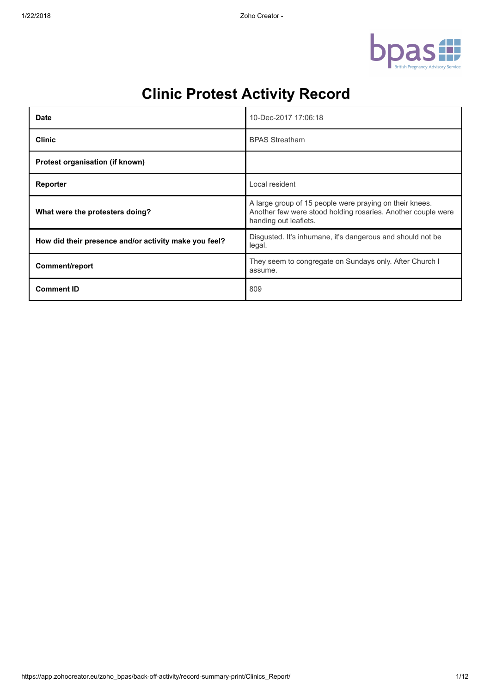

| <b>Date</b>                                           | 10-Dec-2017 17:06:18                                                                                                                             |
|-------------------------------------------------------|--------------------------------------------------------------------------------------------------------------------------------------------------|
| <b>Clinic</b>                                         | <b>BPAS Streatham</b>                                                                                                                            |
| Protest organisation (if known)                       |                                                                                                                                                  |
| Reporter                                              | Local resident                                                                                                                                   |
| What were the protesters doing?                       | A large group of 15 people were praying on their knees.<br>Another few were stood holding rosaries. Another couple were<br>handing out leaflets. |
| How did their presence and/or activity make you feel? | Disgusted. It's inhumane, it's dangerous and should not be<br>legal.                                                                             |
| Comment/report                                        | They seem to congregate on Sundays only. After Church I<br>assume.                                                                               |
| <b>Comment ID</b>                                     | 809                                                                                                                                              |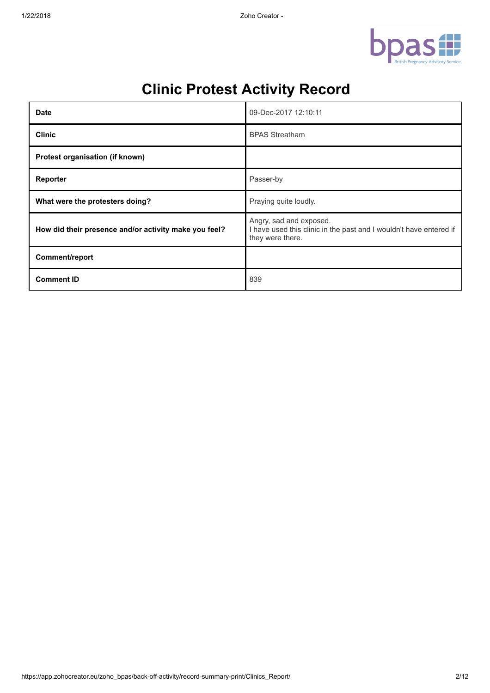

| <b>Date</b>                                           | 09-Dec-2017 12:10:11                                                                                              |
|-------------------------------------------------------|-------------------------------------------------------------------------------------------------------------------|
| <b>Clinic</b>                                         | <b>BPAS Streatham</b>                                                                                             |
| Protest organisation (if known)                       |                                                                                                                   |
| Reporter                                              | Passer-by                                                                                                         |
| What were the protesters doing?                       | Praying quite loudly.                                                                                             |
| How did their presence and/or activity make you feel? | Angry, sad and exposed.<br>I have used this clinic in the past and I wouldn't have entered if<br>they were there. |
| Comment/report                                        |                                                                                                                   |
| <b>Comment ID</b>                                     | 839                                                                                                               |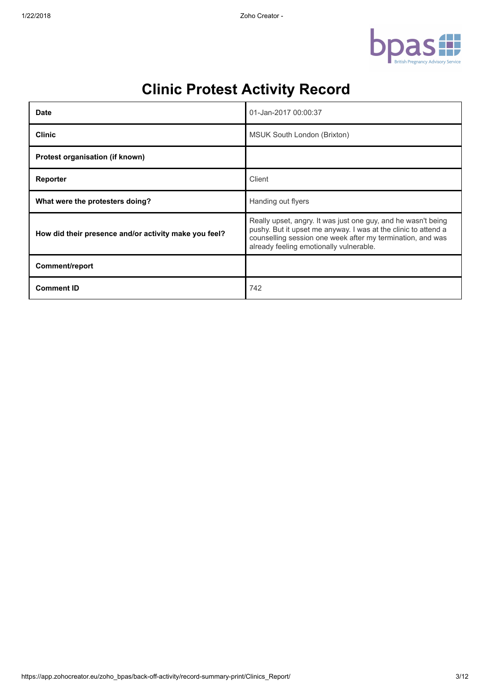

| <b>Date</b>                                           | 01-Jan-2017 00:00:37                                                                                                                                                                                                                     |
|-------------------------------------------------------|------------------------------------------------------------------------------------------------------------------------------------------------------------------------------------------------------------------------------------------|
| <b>Clinic</b>                                         | MSUK South London (Brixton)                                                                                                                                                                                                              |
| Protest organisation (if known)                       |                                                                                                                                                                                                                                          |
| Reporter                                              | Client                                                                                                                                                                                                                                   |
| What were the protesters doing?                       | Handing out flyers                                                                                                                                                                                                                       |
| How did their presence and/or activity make you feel? | Really upset, angry. It was just one guy, and he wasn't being<br>pushy. But it upset me anyway. I was at the clinic to attend a<br>counselling session one week after my termination, and was<br>already feeling emotionally vulnerable. |
| Comment/report                                        |                                                                                                                                                                                                                                          |
| <b>Comment ID</b>                                     | 742                                                                                                                                                                                                                                      |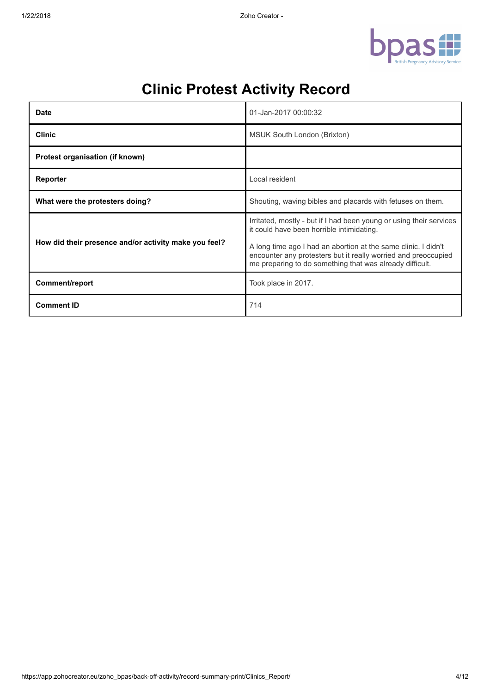

| Date                                                  | 01-Jan-2017 00:00:32                                                                                                                                                                                                                                                                                             |
|-------------------------------------------------------|------------------------------------------------------------------------------------------------------------------------------------------------------------------------------------------------------------------------------------------------------------------------------------------------------------------|
| <b>Clinic</b>                                         | MSUK South London (Brixton)                                                                                                                                                                                                                                                                                      |
| Protest organisation (if known)                       |                                                                                                                                                                                                                                                                                                                  |
| Reporter                                              | Local resident                                                                                                                                                                                                                                                                                                   |
| What were the protesters doing?                       | Shouting, waving bibles and placards with fetuses on them.                                                                                                                                                                                                                                                       |
| How did their presence and/or activity make you feel? | Irritated, mostly - but if I had been young or using their services<br>it could have been horrible intimidating.<br>A long time ago I had an abortion at the same clinic. I didn't<br>encounter any protesters but it really worried and preoccupied<br>me preparing to do something that was already difficult. |
| Comment/report                                        | Took place in 2017.                                                                                                                                                                                                                                                                                              |
| <b>Comment ID</b>                                     | 714                                                                                                                                                                                                                                                                                                              |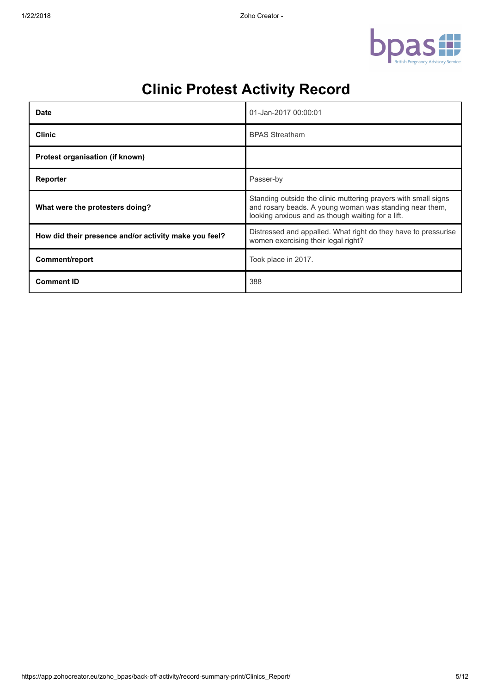

| <b>Date</b>                                           | 01-Jan-2017 00:00:01                                                                                                                                                           |
|-------------------------------------------------------|--------------------------------------------------------------------------------------------------------------------------------------------------------------------------------|
| <b>Clinic</b>                                         | <b>BPAS Streatham</b>                                                                                                                                                          |
| Protest organisation (if known)                       |                                                                                                                                                                                |
| Reporter                                              | Passer-by                                                                                                                                                                      |
| What were the protesters doing?                       | Standing outside the clinic muttering prayers with small signs<br>and rosary beads. A young woman was standing near them,<br>looking anxious and as though waiting for a lift. |
| How did their presence and/or activity make you feel? | Distressed and appalled. What right do they have to pressurise<br>women exercising their legal right?                                                                          |
| Comment/report                                        | Took place in 2017.                                                                                                                                                            |
| <b>Comment ID</b>                                     | 388                                                                                                                                                                            |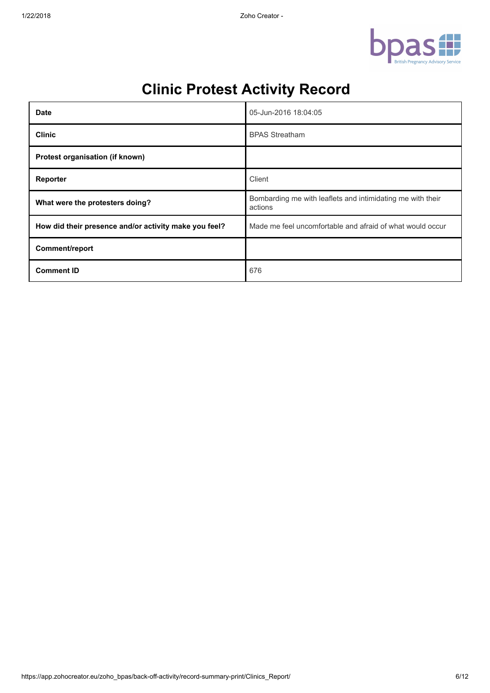

| <b>Date</b>                                           | 05-Jun-2016 18:04:05                                                  |
|-------------------------------------------------------|-----------------------------------------------------------------------|
| <b>Clinic</b>                                         | <b>BPAS Streatham</b>                                                 |
| Protest organisation (if known)                       |                                                                       |
| Reporter                                              | Client                                                                |
| What were the protesters doing?                       | Bombarding me with leaflets and intimidating me with their<br>actions |
| How did their presence and/or activity make you feel? | Made me feel uncomfortable and afraid of what would occur             |
| Comment/report                                        |                                                                       |
| <b>Comment ID</b>                                     | 676                                                                   |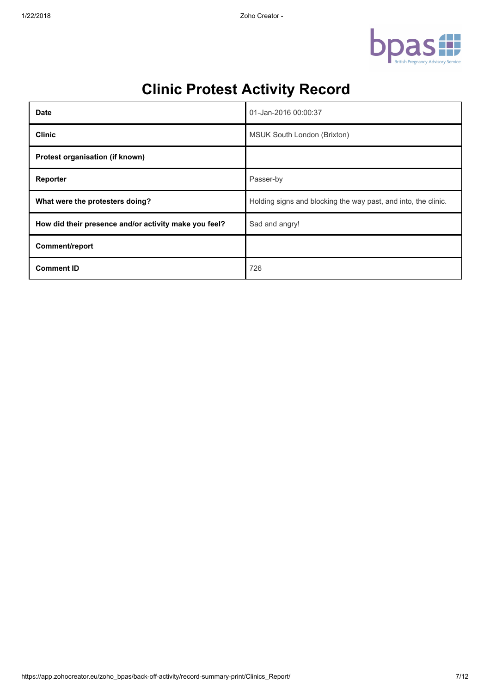

| <b>Date</b>                                           | 01-Jan-2016 00:00:37                                           |
|-------------------------------------------------------|----------------------------------------------------------------|
| <b>Clinic</b>                                         | MSUK South London (Brixton)                                    |
| Protest organisation (if known)                       |                                                                |
| Reporter                                              | Passer-by                                                      |
| What were the protesters doing?                       | Holding signs and blocking the way past, and into, the clinic. |
| How did their presence and/or activity make you feel? | Sad and angry!                                                 |
| Comment/report                                        |                                                                |
| <b>Comment ID</b>                                     | 726                                                            |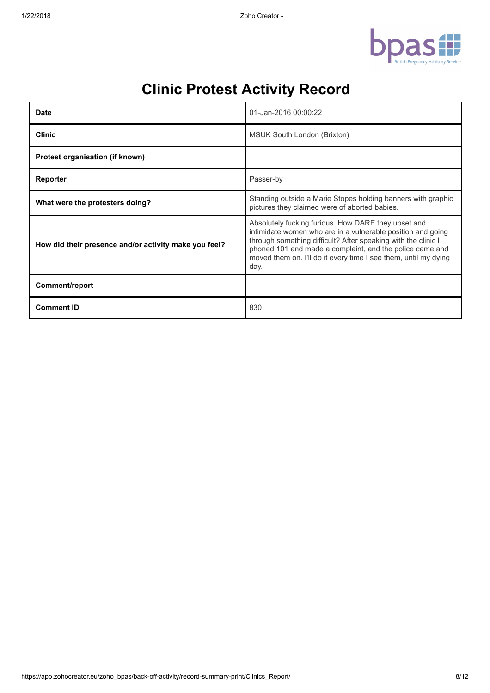

| <b>Date</b>                                           | 01-Jan-2016 00:00:22                                                                                                                                                                                                                                                                                                       |
|-------------------------------------------------------|----------------------------------------------------------------------------------------------------------------------------------------------------------------------------------------------------------------------------------------------------------------------------------------------------------------------------|
| <b>Clinic</b>                                         | MSUK South London (Brixton)                                                                                                                                                                                                                                                                                                |
| Protest organisation (if known)                       |                                                                                                                                                                                                                                                                                                                            |
| Reporter                                              | Passer-by                                                                                                                                                                                                                                                                                                                  |
| What were the protesters doing?                       | Standing outside a Marie Stopes holding banners with graphic<br>pictures they claimed were of aborted babies.                                                                                                                                                                                                              |
| How did their presence and/or activity make you feel? | Absolutely fucking furious. How DARE they upset and<br>intimidate women who are in a vulnerable position and going<br>through something difficult? After speaking with the clinic I<br>phoned 101 and made a complaint, and the police came and<br>moved them on. I'll do it every time I see them, until my dying<br>day. |
| Comment/report                                        |                                                                                                                                                                                                                                                                                                                            |
| <b>Comment ID</b>                                     | 830                                                                                                                                                                                                                                                                                                                        |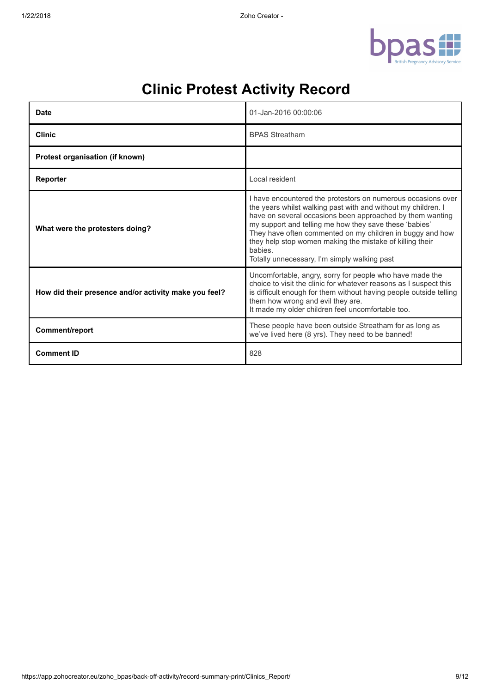

| Date                                                  | 01-Jan-2016 00:00:06                                                                                                                                                                                                                                                                                                                                                                                                                     |
|-------------------------------------------------------|------------------------------------------------------------------------------------------------------------------------------------------------------------------------------------------------------------------------------------------------------------------------------------------------------------------------------------------------------------------------------------------------------------------------------------------|
| <b>Clinic</b>                                         | <b>BPAS Streatham</b>                                                                                                                                                                                                                                                                                                                                                                                                                    |
| Protest organisation (if known)                       |                                                                                                                                                                                                                                                                                                                                                                                                                                          |
| Reporter                                              | Local resident                                                                                                                                                                                                                                                                                                                                                                                                                           |
| What were the protesters doing?                       | I have encountered the protestors on numerous occasions over<br>the years whilst walking past with and without my children. I<br>have on several occasions been approached by them wanting<br>my support and telling me how they save these 'babies'<br>They have often commented on my children in buggy and how<br>they help stop women making the mistake of killing their<br>babies.<br>Totally unnecessary, I'm simply walking past |
| How did their presence and/or activity make you feel? | Uncomfortable, angry, sorry for people who have made the<br>choice to visit the clinic for whatever reasons as I suspect this<br>is difficult enough for them without having people outside telling<br>them how wrong and evil they are.<br>It made my older children feel uncomfortable too.                                                                                                                                            |
| Comment/report                                        | These people have been outside Streatham for as long as<br>we've lived here (8 yrs). They need to be banned!                                                                                                                                                                                                                                                                                                                             |
| <b>Comment ID</b>                                     | 828                                                                                                                                                                                                                                                                                                                                                                                                                                      |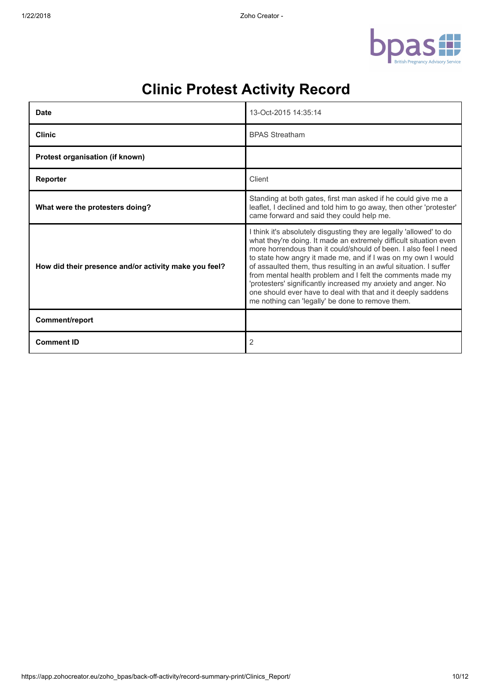

| <b>Date</b>                                           | 13-Oct-2015 14:35:14                                                                                                                                                                                                                                                                                                                                                                                                                                                                                                                                                                                  |
|-------------------------------------------------------|-------------------------------------------------------------------------------------------------------------------------------------------------------------------------------------------------------------------------------------------------------------------------------------------------------------------------------------------------------------------------------------------------------------------------------------------------------------------------------------------------------------------------------------------------------------------------------------------------------|
| <b>Clinic</b>                                         | <b>BPAS Streatham</b>                                                                                                                                                                                                                                                                                                                                                                                                                                                                                                                                                                                 |
| Protest organisation (if known)                       |                                                                                                                                                                                                                                                                                                                                                                                                                                                                                                                                                                                                       |
| Reporter                                              | Client                                                                                                                                                                                                                                                                                                                                                                                                                                                                                                                                                                                                |
| What were the protesters doing?                       | Standing at both gates, first man asked if he could give me a<br>leaflet, I declined and told him to go away, then other 'protester'<br>came forward and said they could help me.                                                                                                                                                                                                                                                                                                                                                                                                                     |
| How did their presence and/or activity make you feel? | I think it's absolutely disgusting they are legally 'allowed' to do<br>what they're doing. It made an extremely difficult situation even<br>more horrendous than it could/should of been. I also feel I need<br>to state how angry it made me, and if I was on my own I would<br>of assaulted them, thus resulting in an awful situation. I suffer<br>from mental health problem and I felt the comments made my<br>'protesters' significantly increased my anxiety and anger. No<br>one should ever have to deal with that and it deeply saddens<br>me nothing can 'legally' be done to remove them. |
| Comment/report                                        |                                                                                                                                                                                                                                                                                                                                                                                                                                                                                                                                                                                                       |
| <b>Comment ID</b>                                     | $\overline{2}$                                                                                                                                                                                                                                                                                                                                                                                                                                                                                                                                                                                        |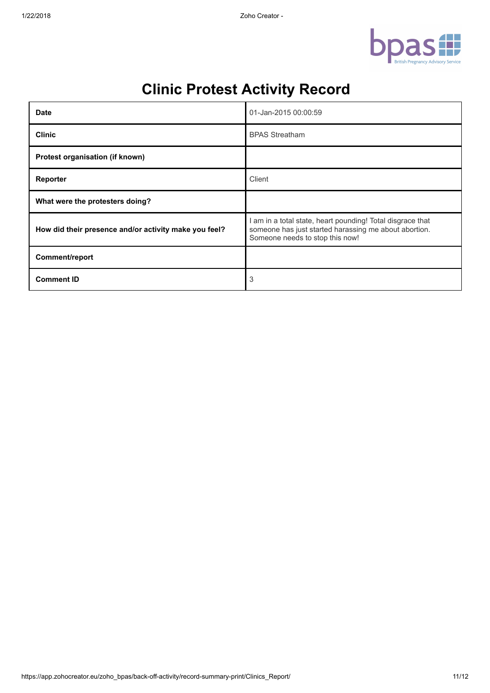

| <b>Date</b>                                           | 01-Jan-2015 00:00:59                                                                                                                                 |
|-------------------------------------------------------|------------------------------------------------------------------------------------------------------------------------------------------------------|
| <b>Clinic</b>                                         | <b>BPAS Streatham</b>                                                                                                                                |
| Protest organisation (if known)                       |                                                                                                                                                      |
| Reporter                                              | Client                                                                                                                                               |
| What were the protesters doing?                       |                                                                                                                                                      |
| How did their presence and/or activity make you feel? | am in a total state, heart pounding! Total disgrace that<br>someone has just started harassing me about abortion.<br>Someone needs to stop this now! |
| Comment/report                                        |                                                                                                                                                      |
| <b>Comment ID</b>                                     | 3                                                                                                                                                    |